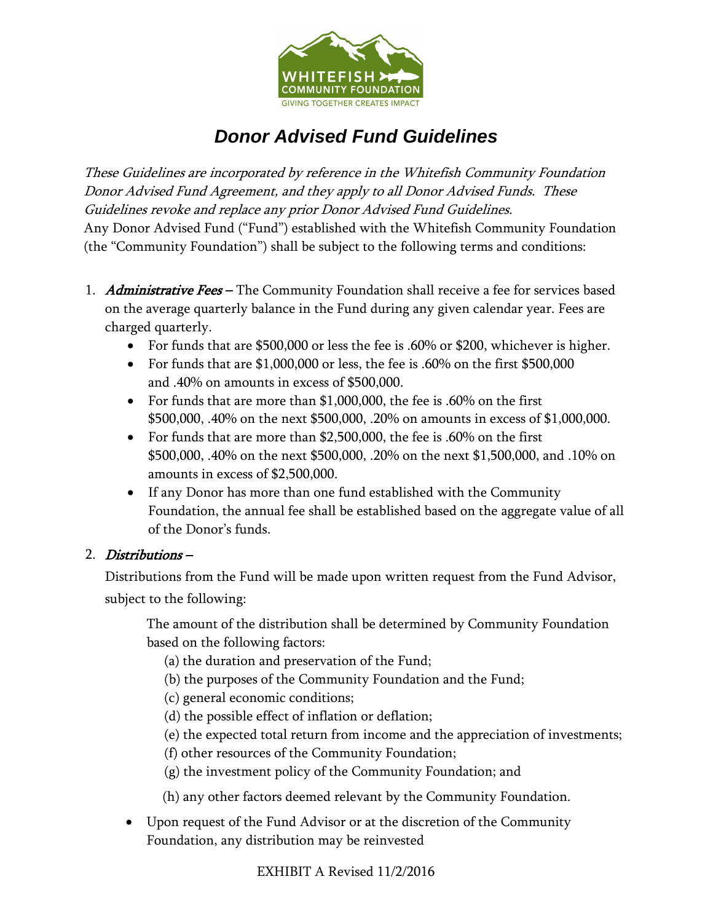

## *Donor Advised Fund Guidelines*

These Guidelines are incorporated by reference in the Whitefish Community Foundation Donor Advised Fund Agreement, and they apply to all Donor Advised Funds. These Guidelines revoke and replace any prior Donor Advised Fund Guidelines. Any Donor Advised Fund ("Fund") established with the Whitefish Community Foundation (the "Community Foundation") shall be subject to the following terms and conditions:

- 1. Administrative Fees The Community Foundation shall receive a fee for services based on the average quarterly balance in the Fund during any given calendar year. Fees are charged quarterly.
	- For funds that are \$500,000 or less the fee is .60% or \$200, whichever is higher.
	- For funds that are \$1,000,000 or less, the fee is .60% on the first \$500,000 and .40% on amounts in excess of \$500,000.
	- For funds that are more than \$1,000,000, the fee is .60% on the first \$500,000, .40% on the next \$500,000, .20% on amounts in excess of \$1,000,000.
	- For funds that are more than \$2,500,000, the fee is .60% on the first \$500,000, .40% on the next \$500,000, .20% on the next \$1,500,000, and .10% on amounts in excess of \$2,500,000.
	- If any Donor has more than one fund established with the Community Foundation, the annual fee shall be established based on the aggregate value of all of the Donor's funds.

## 2. Distributions –

Distributions from the Fund will be made upon written request from the Fund Advisor, subject to the following:

The amount of the distribution shall be determined by Community Foundation based on the following factors:

(a) the duration and preservation of the Fund;

- (b) the purposes of the Community Foundation and the Fund;
- (c) general economic conditions;
- (d) the possible effect of inflation or deflation;
- (e) the expected total return from income and the appreciation of investments;
- (f) other resources of the Community Foundation;
- (g) the investment policy of the Community Foundation; and
- (h) any other factors deemed relevant by the Community Foundation.
- Upon request of the Fund Advisor or at the discretion of the Community Foundation, any distribution may be reinvested